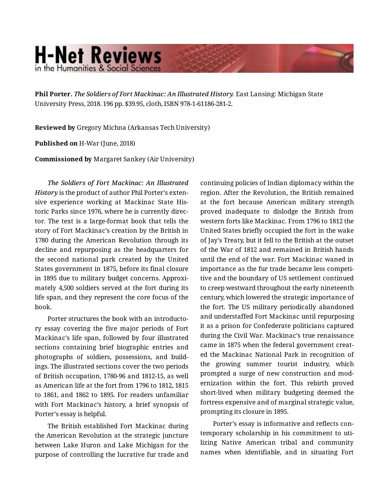## **H-Net Reviews** in the Humanities & Social Science

**Phil Porter.** *The Soldiers of Fort Mackinac: An Illustrated History.* East Lansing: Michigan State University Press, 2018. 196 pp. \$39.95, cloth, ISBN 978-1-61186-281-2.

**Reviewed by** Gregory Michna (Arkansas Tech University)

**Published on** H-War (June, 2018)

**Commissioned by** Margaret Sankey (Air University)

*The Soldiers of Fort Mackinac: An Illustrated History* is the product of author Phil Porter's exten‐ sive experience working at Mackinac State His‐ toric Parks since 1976, where he is currently direc‐ tor. The text is a large-format book that tells the story of Fort Mackinac's creation by the British in 1780 during the American Revolution through its decline and repurposing as the headquarters for the second national park created by the United States government in 1875, before its final closure in 1895 due to military budget concerns. Approximately 4,500 soldiers served at the fort during its life span, and they represent the core focus of the book.

Porter structures the book with an introducto‐ ry essay covering the five major periods of Fort Mackinac's life span, followed by four illustrated sections containing brief biographic entries and photographs of soldiers, possessions, and build‐ ings. The illustrated sections cover the two periods of British occupation, 1780-96 and 1812-15, as well as American life at the fort from 1796 to 1812, 1815 to 1861, and 1862 to 1895. For readers unfamiliar with Fort Mackinac's history, a brief synopsis of Porter's essay is helpful.

The British established Fort Mackinac during the American Revolution at the strategic juncture between Lake Huron and Lake Michigan for the purpose of controlling the lucrative fur trade and continuing policies of Indian diplomacy within the region. After the Revolution, the British remained at the fort because American military strength proved inadequate to dislodge the British from western forts like Mackinac. From 1796 to 1812 the United States briefly occupied the fort in the wake of Jay's Treaty, but it fell to the British at the outset of the War of 1812 and remained in British hands until the end of the war. Fort Mackinac waned in importance as the fur trade became less competi‐ tive and the boundary of US settlement continued to creep westward throughout the early nineteenth century, which lowered the strategic importance of the fort. The US military periodically abandoned and understaffed Fort Mackinac until repurposing it as a prison for Confederate politicians captured during the Civil War. Mackinac's true renaissance came in 1875 when the federal government creat‐ ed the Mackinac National Park in recognition of the growing summer tourist industry, which prompted a surge of new construction and mod‐ ernization within the fort. This rebirth proved short-lived when military budgeting deemed the fortress expensive and of marginal strategic value, prompting its closure in 1895.

Porter's essay is informative and reflects con‐ temporary scholarship in his commitment to uti‐ lizing Native American tribal and community names when identifiable, and in situating Fort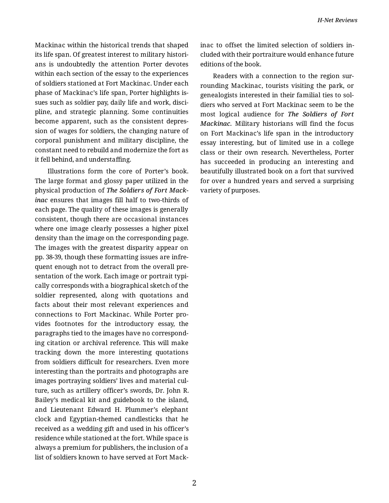Mackinac within the historical trends that shaped its life span. Of greatest interest to military histori‐ ans is undoubtedly the attention Porter devotes within each section of the essay to the experiences of soldiers stationed at Fort Mackinac. Under each phase of Mackinac's life span, Porter highlights is‐ sues such as soldier pay, daily life and work, disci‐ pline, and strategic planning. Some continuities become apparent, such as the consistent depres‐ sion of wages for soldiers, the changing nature of corporal punishment and military discipline, the constant need to rebuild and modernize the fort as it fell behind, and understaffing.

Illustrations form the core of Porter's book. The large format and glossy paper utilized in the physical production of *The Soldiers of Fort Mack‐ inac* ensures that images fill half to two-thirds of each page. The quality of these images is generally consistent, though there are occasional instances where one image clearly possesses a higher pixel density than the image on the corresponding page. The images with the greatest disparity appear on pp. 38-39, though these formatting issues are infre‐ quent enough not to detract from the overall pre‐ sentation of the work. Each image or portrait typically corresponds with a biographical sketch of the soldier represented, along with quotations and facts about their most relevant experiences and connections to Fort Mackinac. While Porter pro‐ vides footnotes for the introductory essay, the paragraphs tied to the images have no correspond‐ ing citation or archival reference. This will make tracking down the more interesting quotations from soldiers difficult for researchers. Even more interesting than the portraits and photographs are images portraying soldiers' lives and material cul‐ ture, such as artillery officer's swords, Dr. John R. Bailey's medical kit and guidebook to the island, and Lieutenant Edward H. Plummer's elephant clock and Egyptian-themed candlesticks that he received as a wedding gift and used in his officer's residence while stationed at the fort. While space is always a premium for publishers, the inclusion of a list of soldiers known to have served at Fort Mack‐

inac to offset the limited selection of soldiers in‐ cluded with their portraiture would enhance future editions of the book.

Readers with a connection to the region sur‐ rounding Mackinac, tourists visiting the park, or genealogists interested in their familial ties to sol‐ diers who served at Fort Mackinac seem to be the most logical audience for *The Soldiers of Fort Mackinac.* Military historians will find the focus on Fort Mackinac's life span in the introductory essay interesting, but of limited use in a college class or their own research. Nevertheless, Porter has succeeded in producing an interesting and beautifully illustrated book on a fort that survived for over a hundred years and served a surprising variety of purposes.